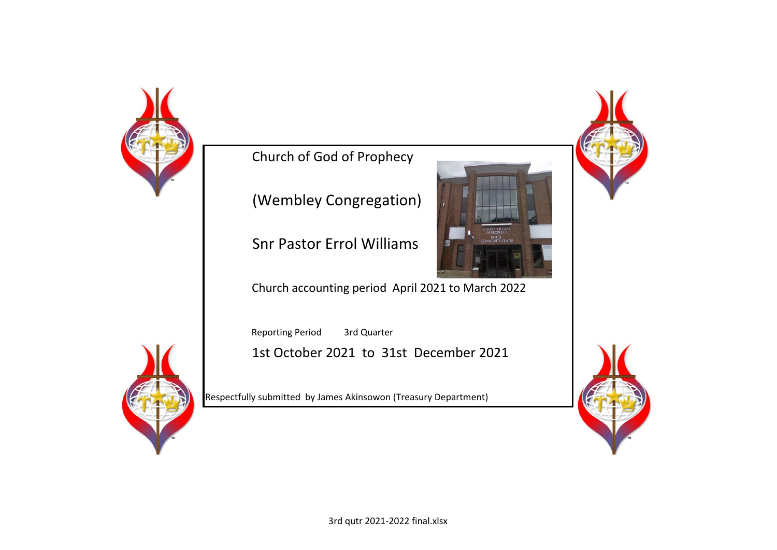

Church of God of Prophecy

(Wembley Congregation)

Snr Pastor Errol Williams

Church accounting period April 2021 to March 2022

Reporting Period 3rd Quarter 1st October 2021 to 31st December 2021

Respectfully submitted by James Akinsowon (Treasury Department)



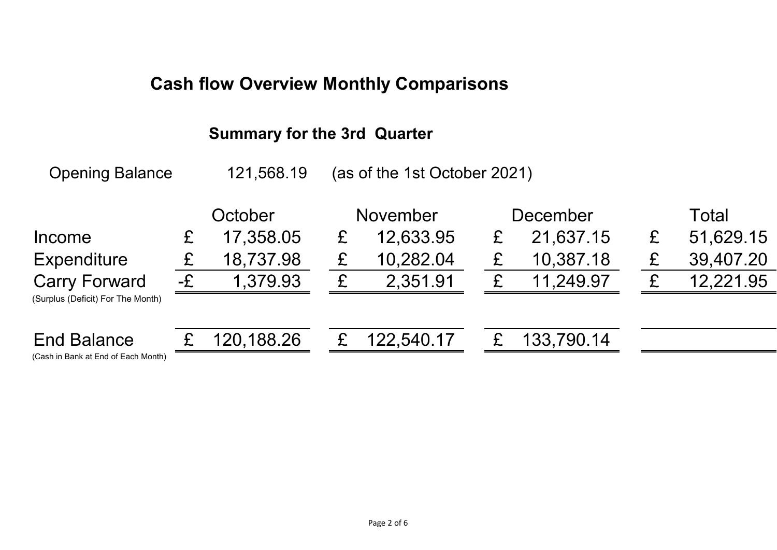# **Cash flow Overview Monthly Comparisons**

# **Summary for the 3rd Quarter**

Opening Balance 121,568.19 (as of the 1st October 2021)

|                                                           | October       |            | <b>November</b> | December   | Total |           |  |
|-----------------------------------------------------------|---------------|------------|-----------------|------------|-------|-----------|--|
| <b>Income</b>                                             |               | 17,358.05  | 12,633.95       | 21,637.15  |       | 51,629.15 |  |
| <b>Expenditure</b>                                        |               | 18,737.98  | 10,282.04       | 10,387.18  |       | 39,407.20 |  |
| <b>Carry Forward</b><br>(Surplus (Deficit) For The Month) | $-\mathbf{E}$ | 1,379.93   | 2,351.91        | 11,249.97  |       | 12,221.95 |  |
|                                                           |               |            |                 |            |       |           |  |
| <b>End Balance</b><br>(Cash in Bank of End of Each Menth) |               | 120,188.26 | 122,540.17      | 133,790.14 |       |           |  |

(Cash in Bank at End of Each Month)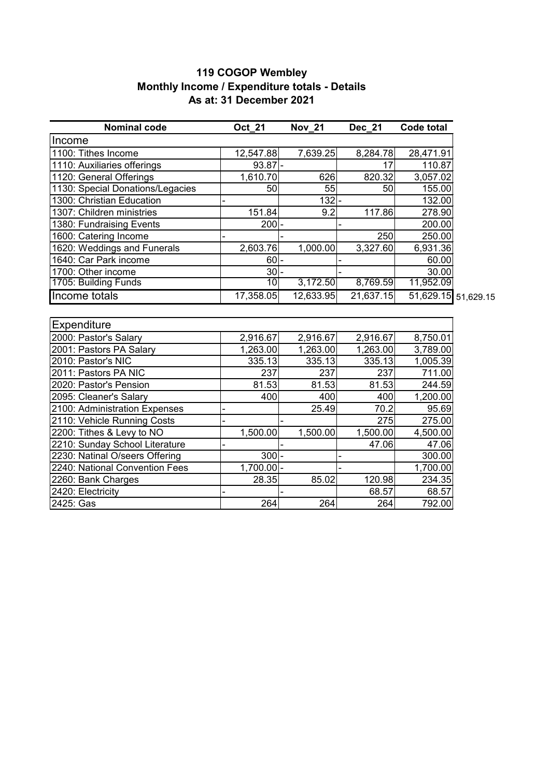#### **119 COGOP Wembley Monthly Income / Expenditure totals - Details As at: 31 December 2021**

| <b>Nominal code</b>              | <b>Oct 21</b> | <b>Nov 21</b>    | Dec 21    | <b>Code total</b>   |  |
|----------------------------------|---------------|------------------|-----------|---------------------|--|
| Income                           |               |                  |           |                     |  |
| 1100: Tithes Income              | 12,547.88     | 7,639.25         | 8,284.78  | 28,471.91           |  |
| 1110: Auxiliaries offerings      | $93.87$ -     |                  | 17        | 110.87              |  |
| 1120: General Offerings          | 1,610.70      | 626              | 820.32    | 3,057.02            |  |
| 1130: Special Donations/Legacies | 50            | 55               | 50        | 155.00              |  |
| 1300: Christian Education        |               | $132 -$          |           | 132.00              |  |
| 1307: Children ministries        | 151.84        | 9.2              | 117.86    | 278.90              |  |
| 1380: Fundraising Events         | $200$ -       |                  |           | 200.00              |  |
| 1600: Catering Income            |               |                  | 250       | 250.00              |  |
| 1620: Weddings and Funerals      | 2,603.76      | 1,000.00         | 3,327.60  | 6,931.36            |  |
| 1640: Car Park income            | $60$ -        |                  |           | 60.00               |  |
| 1700: Other income               | $30-$         |                  |           | 30.00               |  |
| 1705: Building Funds             | 10            | 3,172.50         | 8,769.59  | 11,952.09           |  |
| Income totals                    | 17,358.05     | 12,633.95        | 21,637.15 | 51,629.15 51,629.15 |  |
|                                  |               |                  |           |                     |  |
| <b>Expenditure</b>               |               |                  |           |                     |  |
| 2000: Pastor's Salary            | 2,916.67      | 2,916.67         | 2,916.67  | 8,750.01            |  |
| 2001: Pastors PA Salary          | 1,263.00      | 1,263.00         | 1,263.00  | 3,789.00            |  |
| 2010: Pastor's NIC               | 335.13        | 335.13           | 335.13    | 1,005.39            |  |
| 2011: Pastors PA NIC             | 237           | 237              | 237       | 711.00              |  |
| 2020: Pastor's Pension           | 81.53         | 81.53            | 81.53     | 244.59              |  |
| 2095: Cleaner's Salary           | 400           | 400              | 400       | 1,200.00            |  |
| 2100: Administration Expenses    |               | 25.49            | 70.2      | 95.69               |  |
| 2110: Vehicle Running Costs      |               |                  | 275       | 275.00              |  |
| 2200: Tithes & Levy to NO        | 1,500.00      | 1,500.00         | 1,500.00  | 4,500.00            |  |
| 2210: Sunday School Literature   |               |                  | 47.06     | 47.06               |  |
| 2230: Natinal O/seers Offering   | $300 -$       |                  |           | 300.00              |  |
| 2240: National Convention Fees   | $1,700.00$ -  |                  |           | 1,700.00            |  |
| 2260: Bank Charges               | 28.35         | 85.02            | 120.98    | 234.35              |  |
| 2420: Electricity                |               |                  | 68.57     | 68.57               |  |
| 2425: Gas                        | 264           | $\overline{2}64$ | 264       | 792.00              |  |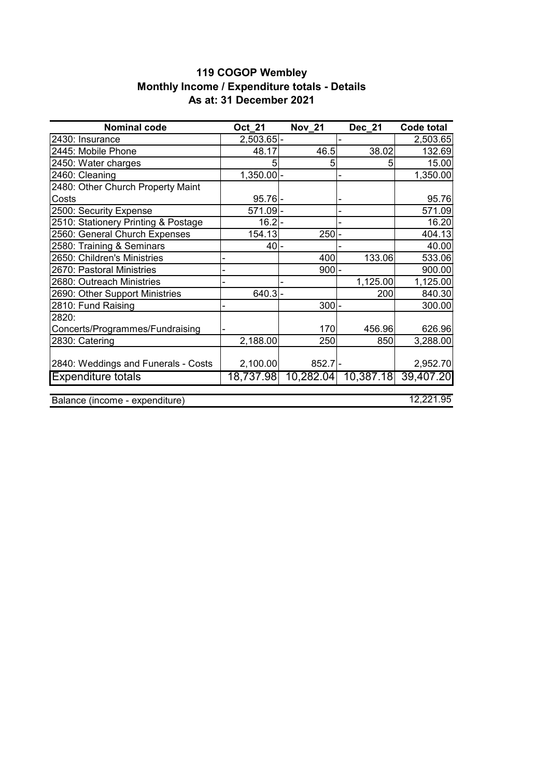### **119 COGOP Wembley Monthly Income / Expenditure totals - Details As at: 31 December 2021**

| <b>Nominal code</b>                 | Oct 21       | <b>Nov 21</b> | <b>Dec 21</b> | <b>Code total</b> |
|-------------------------------------|--------------|---------------|---------------|-------------------|
| 2430: Insurance                     | $2,503.65$ - |               |               | 2,503.65          |
| 2445: Mobile Phone                  | 48.17        | 46.5          | 38.02         | 132.69            |
| 2450: Water charges                 | 5            | 5             | 5             | 15.00             |
| 2460: Cleaning                      | $1,350.00$ - |               |               | 1,350.00          |
| 2480: Other Church Property Maint   |              |               |               |                   |
| Costs                               | $95.76$ -    |               |               | 95.76             |
| 2500: Security Expense              | $571.09$ -   |               |               | 571.09            |
| 2510: Stationery Printing & Postage | $16.2$ -     |               |               | 16.20             |
| 2560: General Church Expenses       | 154.13       | $250$ -       |               | 404.13            |
| 2580: Training & Seminars           | $40$ -       |               |               | 40.00             |
| 2650: Children's Ministries         |              | 400           | 133.06        | 533.06            |
| 2670: Pastoral Ministries           |              | $900$ -       |               | 900.00            |
| 2680: Outreach Ministries           |              |               | 1,125.00      | 1,125.00          |
| 2690: Other Support Ministries      | $640.3$ -    |               | 200           | 840.30            |
| 2810: Fund Raising                  |              | $300 -$       |               | 300.00            |
| 2820:                               |              |               |               |                   |
| Concerts/Programmes/Fundraising     |              | 170           | 456.96        | 626.96            |
| 2830: Catering                      | 2,188.00     | 250           | 850           | 3,288.00          |
|                                     |              |               |               |                   |
| 2840: Weddings and Funerals - Costs | 2,100.00     | $852.7$ -     |               | 2,952.70          |
| <b>Expenditure totals</b>           | 18,737.98    | 10,282.04     | 10,387.18     | 39,407.20         |
|                                     |              |               |               |                   |
| Balance (income - expenditure)      |              |               |               | 12,221.95         |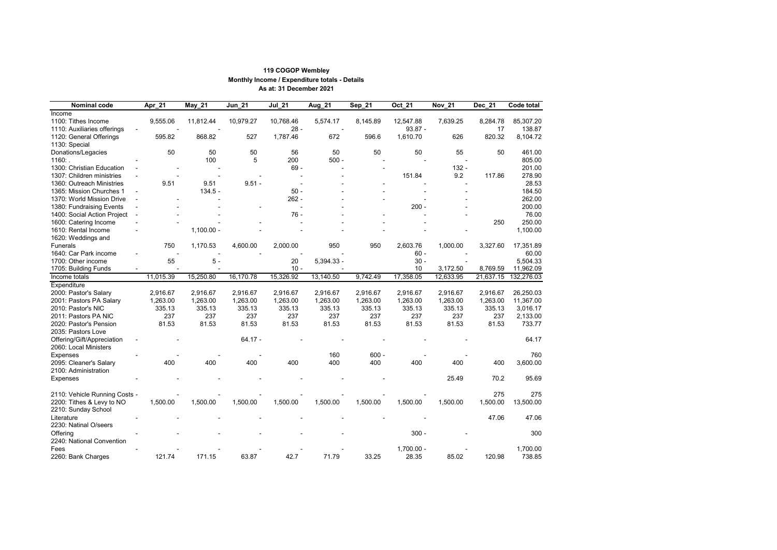| <b>Nominal code</b>           | Apr_21                   | <b>May_21</b> | <b>Jun 21</b> | <b>Jul 21</b> | Aug_21     | Sep_21   | <b>Oct 21</b> | <b>Nov 21</b> | <b>Dec 21</b> | <b>Code total</b> |
|-------------------------------|--------------------------|---------------|---------------|---------------|------------|----------|---------------|---------------|---------------|-------------------|
| Income                        |                          |               |               |               |            |          |               |               |               |                   |
| 1100: Tithes Income           | 9,555.06                 | 11,812.44     | 10,979.27     | 10,768.46     | 5,574.17   | 8,145.89 | 12,547.88     | 7,639.25      | 8,284.78      | 85,307.20         |
| 1110: Auxiliaries offerings   |                          |               |               | $28 -$        |            |          | $93.87 -$     |               | 17            | 138.87            |
| 1120: General Offerings       | 595.82                   | 868.82        | 527           | 1,787.46      | 672        | 596.6    | 1,610.70      | 626           | 820.32        | 8,104.72          |
| 1130: Special                 |                          |               |               |               |            |          |               |               |               |                   |
| Donations/Legacies            | 50                       | 50            | 50            | 56            | 50         | 50       | 50            | 55            | 50            | 461.00            |
| 1160:                         |                          | 100           | 5             | 200           | $500 -$    |          |               |               |               | 805.00            |
| 1300: Christian Education     |                          |               |               | $69 -$        |            |          |               | $132 -$       |               | 201.00            |
| 1307: Children ministries     |                          |               |               |               |            |          | 151.84        | 9.2           | 117.86        | 278.90            |
| 1360: Outreach Ministries     | 9.51                     | 9.51          | $9.51 -$      |               |            |          |               |               |               | 28.53             |
| 1365: Mission Churches 1      | $\overline{\phantom{a}}$ | $134.5 -$     |               | $50 -$        |            |          |               |               |               | 184.50            |
| 1370: World Mission Drive     |                          |               |               | $262 -$       |            |          |               |               |               | 262.00            |
| 1380: Fundraising Events      |                          |               |               |               |            |          | $200 -$       |               |               | 200.00            |
| 1400: Social Action Project   | $\blacksquare$           |               |               | $76 -$        |            |          |               |               |               | 76.00             |
| 1600: Catering Income         |                          |               |               |               |            |          |               |               | 250           | 250.00            |
| 1610: Rental Income           |                          | $1,100.00 -$  |               |               |            |          |               |               |               | 1,100.00          |
| 1620: Weddings and            |                          |               |               |               |            |          |               |               |               |                   |
| <b>Funerals</b>               | 750                      | 1,170.53      | 4,600.00      | 2,000.00      | 950        | 950      | 2,603.76      | 1,000.00      | 3,327.60      | 17,351.89         |
| 1640: Car Park income         |                          |               |               |               |            |          | $60 -$        |               |               | 60.00             |
| 1700: Other income            | 55                       | $5 -$         |               | 20            | 5,394.33 - |          | $30 -$        |               |               | 5,504.33          |
| 1705: Building Funds          |                          |               |               | $10 -$        |            |          | 10            | 3,172.50      | 8,769.59      | 11,962.09         |
| Income totals                 | 11,015.39                | 15,250.80     | 16,170.78     | 15,326.92     | 13,140.50  | 9,742.49 | 17,358.05     | 12,633.95     | 21,637.15     | 132,276.03        |
|                               |                          |               |               |               |            |          |               |               |               |                   |
| Expenditure                   |                          |               |               |               |            |          |               |               |               |                   |
| 2000: Pastor's Salary         | 2,916.67                 | 2,916.67      | 2,916.67      | 2,916.67      | 2,916.67   | 2,916.67 | 2,916.67      | 2,916.67      | 2,916.67      | 26,250.03         |
| 2001: Pastors PA Salary       | 1,263.00                 | 1,263.00      | 1,263.00      | 1,263.00      | 1,263.00   | 1,263.00 | 1,263.00      | 1,263.00      | 1,263.00      | 11,367.00         |
| 2010: Pastor's NIC            | 335.13                   | 335.13        | 335.13        | 335.13        | 335.13     | 335.13   | 335.13        | 335.13        | 335.13        | 3,016.17          |
| 2011: Pastors PA NIC          | 237                      | 237           | 237           | 237           | 237        | 237      | 237           | 237           | 237           | 2,133.00          |
| 2020: Pastor's Pension        | 81.53                    | 81.53         | 81.53         | 81.53         | 81.53      | 81.53    | 81.53         | 81.53         | 81.53         | 733.77            |
| 2035: Pastors Love            |                          |               |               |               |            |          |               |               |               |                   |
| Offering/Gift/Appreciation    |                          |               | $64.17 -$     |               |            |          |               |               |               | 64.17             |
| 2060: Local Ministers         |                          |               |               |               |            |          |               |               |               |                   |
| <b>Expenses</b>               |                          |               |               |               | 160        | $600 -$  |               |               |               | 760               |
| 2095: Cleaner's Salary        | 400                      | 400           | 400           | 400           | 400        | 400      | 400           | 400           | 400           | 3,600.00          |
| 2100: Administration          |                          |               |               |               |            |          |               |               |               |                   |
| <b>Expenses</b>               |                          |               |               |               |            |          |               | 25.49         | 70.2          | 95.69             |
|                               |                          |               |               |               |            |          |               |               |               |                   |
| 2110: Vehicle Running Costs - |                          |               |               |               |            |          |               |               | 275           | 275               |
| 2200: Tithes & Levy to NO     | 1,500.00                 | 1,500.00      | 1,500.00      | 1,500.00      | 1,500.00   | 1,500.00 | 1,500.00      | 1,500.00      | 1,500.00      | 13,500.00         |
| 2210: Sunday School           |                          |               |               |               |            |          |               |               |               |                   |
| Literature                    |                          |               |               |               |            |          |               |               | 47.06         | 47.06             |
| 2230: Natinal O/seers         |                          |               |               |               |            |          |               |               |               |                   |
| Offering                      |                          |               |               |               |            |          | $300 -$       |               |               | 300               |
| 2240: National Convention     |                          |               |               |               |            |          |               |               |               |                   |
| Fees                          |                          |               |               |               |            |          | $1,700.00 -$  |               |               | 1,700.00          |
| 2260: Bank Charges            | 121.74                   | 171.15        | 63.87         | 42.7          | 71.79      | 33.25    | 28.35         | 85.02         | 120.98        | 738.85            |

## **119 COGOP Wembley Monthly Income / Expenditure totals - Details As at: 31 December 2021**